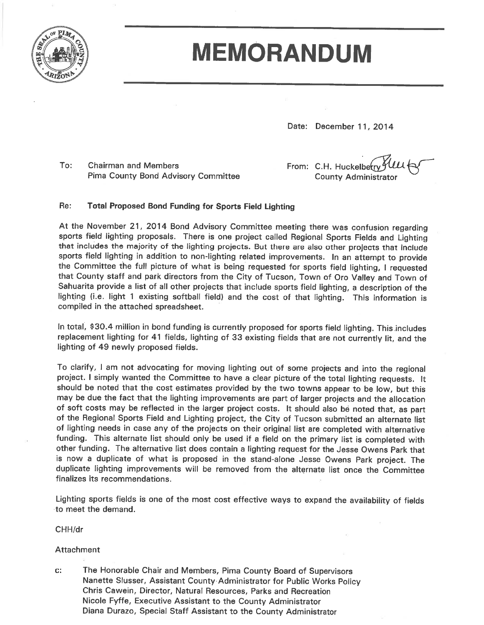

# **MEMORANDUM**

Date: December 11, 2014

 $To:$ **Chairman and Members Pima County Bond Advisory Committee**  From: C.H. Huckelberry **County Administrator** 

#### Re: **Total Proposed Bond Funding for Sports Field Lighting**

At the November 21, 2014 Bond Advisory Committee meeting there was confusion regarding sports field lighting proposals. There is one project called Regional Sports Fields and Lighting that includes the majority of the lighting projects. But there are also other projects that include sports field lighting in addition to non-lighting related improvements. In an attempt to provide the Committee the full picture of what is being requested for sports field lighting, I requested that County staff and park directors from the City of Tucson, Town of Oro Valley and Town of Sahuarita provide a list of all other projects that include sports field lighting, a description of the lighting (i.e. light 1 existing softball field) and the cost of that lighting. This information is compiled in the attached spreadsheet.

In total, \$30.4 million in bond funding is currently proposed for sports field lighting. This includes replacement lighting for 41 fields, lighting of 33 existing fields that are not currently lit, and the lighting of 49 newly proposed fields.

To clarify, I am not advocating for moving lighting out of some projects and into the regional project. I simply wanted the Committee to have a clear picture of the total lighting requests. It should be noted that the cost estimates provided by the two towns appear to be low, but this may be due the fact that the lighting improvements are part of larger projects and the allocation of soft costs may be reflected in the larger project costs. It should also be noted that, as part of the Regional Sports Field and Lighting project, the City of Tucson submitted an alternate list of lighting needs in case any of the projects on their original list are completed with alternative funding. This alternate list should only be used if a field on the primary list is completed with other funding. The alternative list does contain a lighting request for the Jesse Owens Park that is now a duplicate of what is proposed in the stand-alone Jesse Owens Park project. The duplicate lighting improvements will be removed from the alternate list once the Committee finalizes its recommendations.

Lighting sports fields is one of the most cost effective ways to expand the availability of fields to meet the demand.

CHH/dr

#### Attachment

 $C$ : The Honorable Chair and Members, Pima County Board of Supervisors Nanette Slusser, Assistant County Administrator for Public Works Policy Chris Cawein, Director, Natural Resources, Parks and Recreation Nicole Fyffe, Executive Assistant to the County Administrator Diana Durazo, Special Staff Assistant to the County Administrator